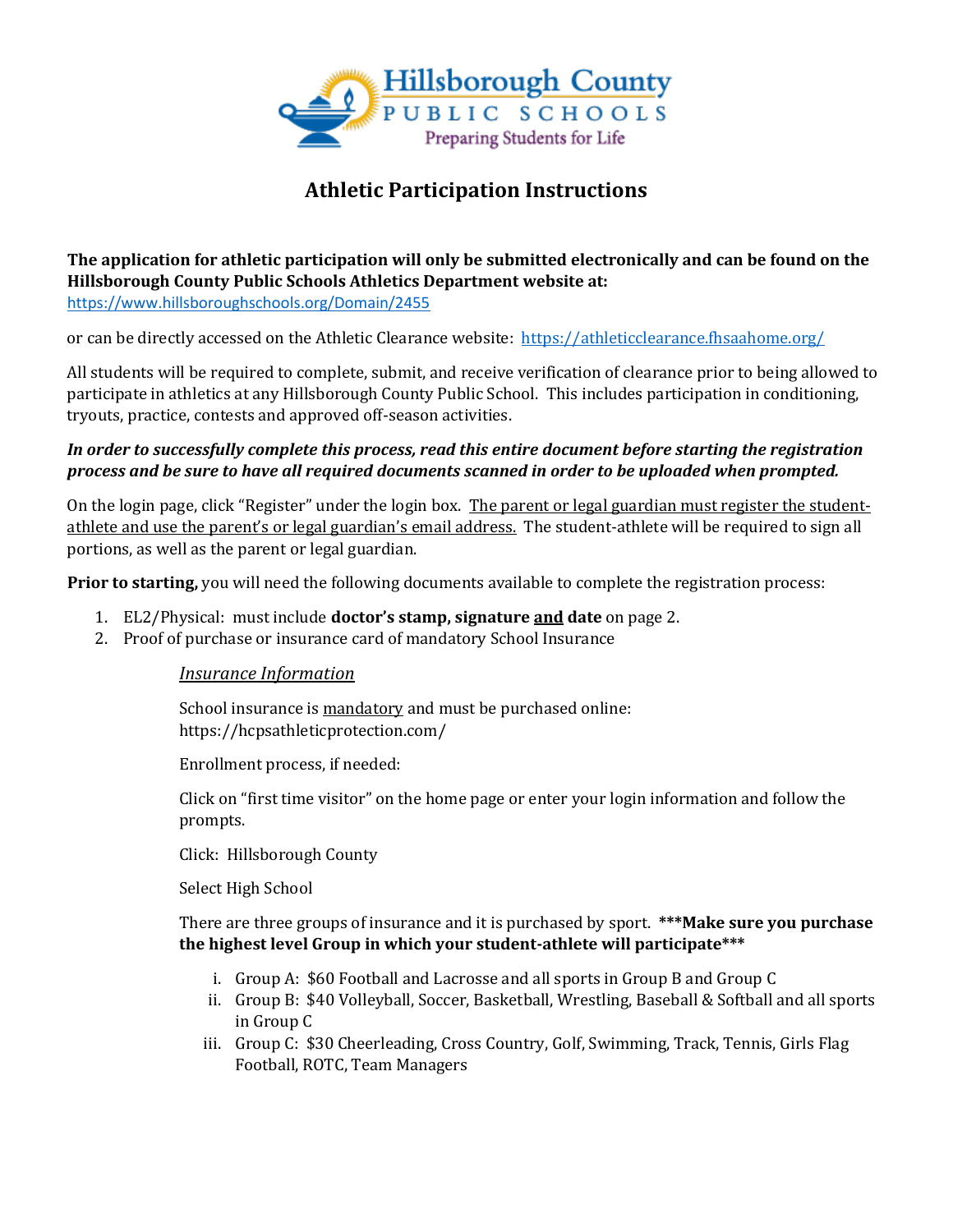

# **Athletic Participation Instructions**

### **The application for athletic participation will only be submitted electronically and can be found on the Hillsborough County Public Schools Athletics Department website at:**  <https://www.hillsboroughschools.org/Domain/2455>

or can be directly accessed on the Athletic Clearance website: <https://athleticclearance.fhsaahome.org/>

All students will be required to complete, submit, and receive verification of clearance prior to being allowed to participate in athletics at any Hillsborough County Public School. This includes participation in conditioning, tryouts, practice, contests and approved off-season activities.

### *In order to successfully complete this process, read this entire document before starting the registration process and be sure to have all required documents scanned in order to be uploaded when prompted.*

On the login page, click "Register" under the login box. The parent or legal guardian must register the studentathlete and use the parent's or legal guardian's email address. The student-athlete will be required to sign all portions, as well as the parent or legal guardian.

**Prior to starting,** you will need the following documents available to complete the registration process:

- 1. EL2/Physical: must include **doctor's stamp, signature and date** on page 2.
- 2. Proof of purchase or insurance card of mandatory School Insurance

### *Insurance Information*

School insurance is mandatory and must be purchased online: https://hcpsathleticprotection.com/

Enrollment process, if needed:

Click on "first time visitor" on the home page or enter your login information and follow the prompts.

Click: Hillsborough County

Select High School

### There are three groups of insurance and it is purchased by sport. **\*\*\*Make sure you purchase the highest level Group in which your student-athlete will participate\*\*\***

- i. Group A: \$60 Football and Lacrosse and all sports in Group B and Group C
- ii. Group B: \$40 Volleyball, Soccer, Basketball, Wrestling, Baseball & Softball and all sports in Group C
- iii. Group C: \$30 Cheerleading, Cross Country, Golf, Swimming, Track, Tennis, Girls Flag Football, ROTC, Team Managers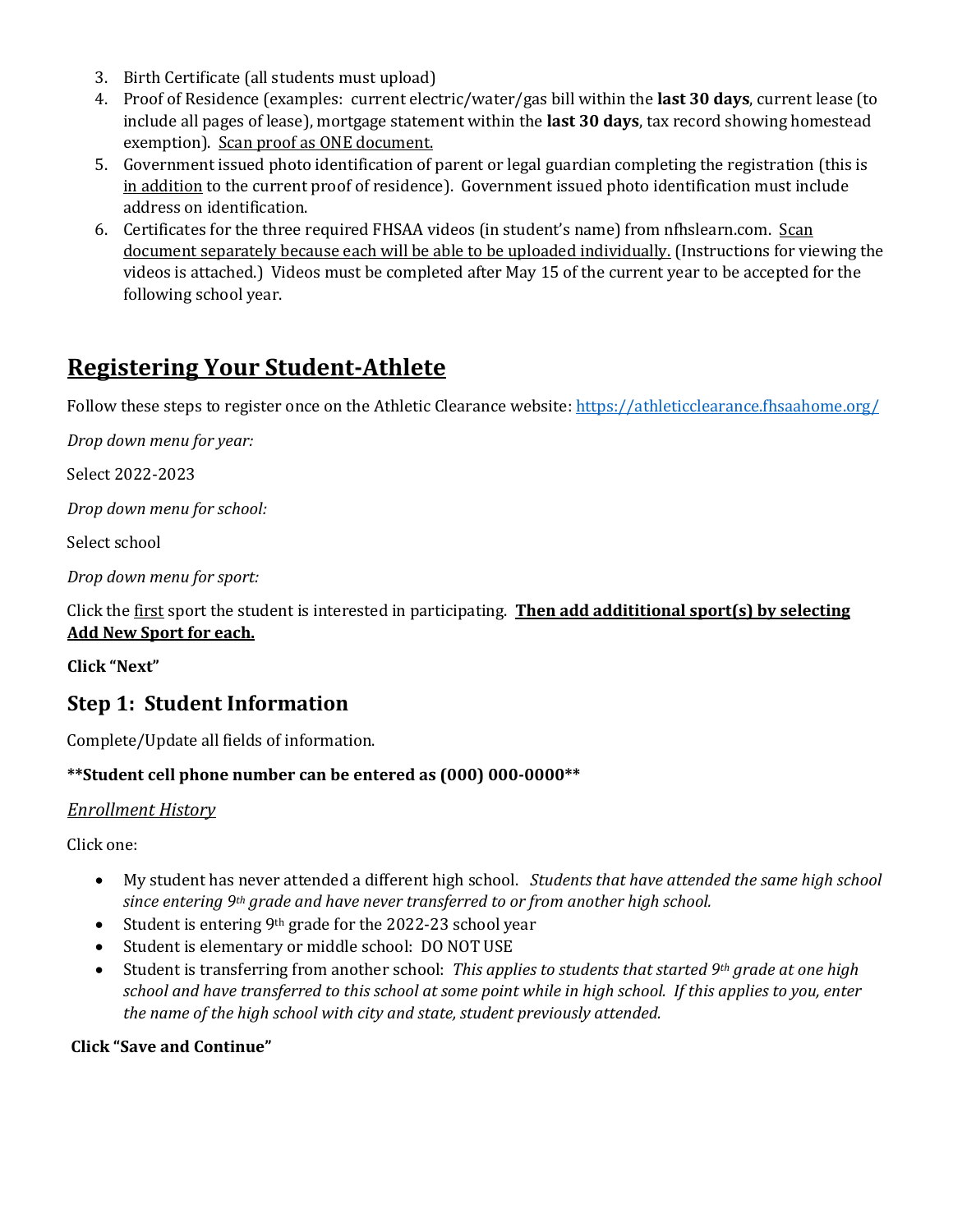- 3. Birth Certificate (all students must upload)
- 4. Proof of Residence (examples: current electric/water/gas bill within the **last 30 days**, current lease (to include all pages of lease), mortgage statement within the **last 30 days**, tax record showing homestead exemption). Scan proof as ONE document.
- 5. Government issued photo identification of parent or legal guardian completing the registration (this is in addition to the current proof of residence). Government issued photo identification must include address on identification.
- 6. Certificates for the three required FHSAA videos (in student's name) from nfhslearn.com. Scan document separately because each will be able to be uploaded individually. (Instructions for viewing the videos is attached.) Videos must be completed after May 15 of the current year to be accepted for the following school year.

# **Registering Your Student-Athlete**

Follow these steps to register once on the Athletic Clearance website:<https://athleticclearance.fhsaahome.org/>

*Drop down menu for year:*

Select 2022-2023

*Drop down menu for school:*

Select school

*Drop down menu for sport:*

Click the first sport the student is interested in participating. **Then add addititional sport(s) by selecting Add New Sport for each.**

**Click "Next"**

### **Step 1: Student Information**

Complete/Update all fields of information.

### **\*\*Student cell phone number can be entered as (000) 000-0000\*\***

### *Enrollment History*

Click one:

- My student has never attended a different high school. *Students that have attended the same high school since entering 9th grade and have never transferred to or from another high school.*
- $\bullet$  Student is entering 9<sup>th</sup> grade for the 2022-23 school year
- Student is elementary or middle school: DO NOT USE
- Student is transferring from another school: *This applies to students that started 9th grade at one high school and have transferred to this school at some point while in high school. If this applies to you, enter the name of the high school with city and state, student previously attended.*

**Click "Save and Continue"**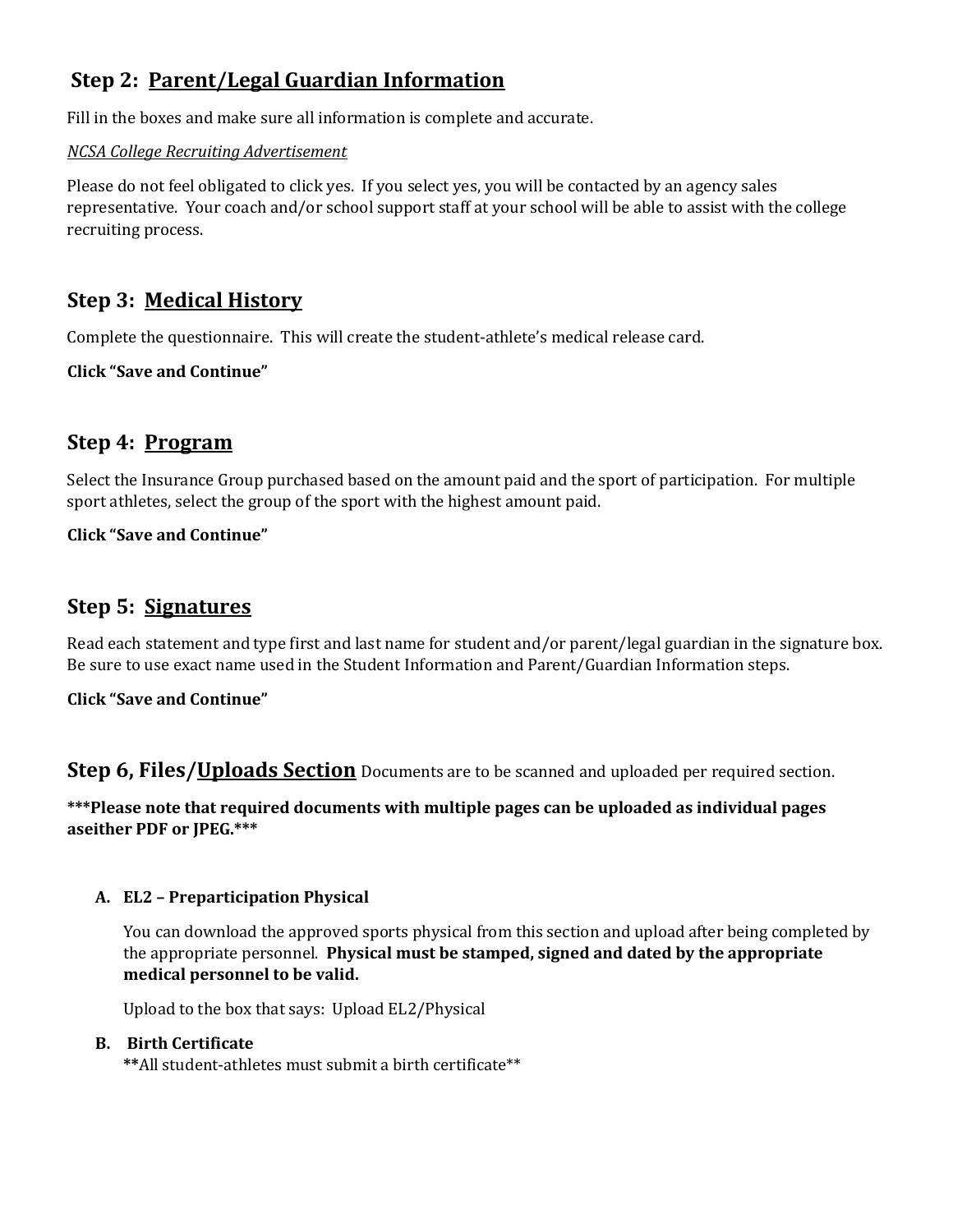# **Step 2: Parent/Legal Guardian Information**

Fill in the boxes and make sure all information is complete and accurate.

### *NCSA College Recruiting Advertisement*

Please do not feel obligated to click yes. If you select yes, you will be contacted by an agency sales representative. Your coach and/or school support staff at your school will be able to assist with the college recruiting process.

### **Step 3: Medical History**

Complete the questionnaire. This will create the student-athlete's medical release card.

**Click "Save and Continue"**

### **Step 4: Program**

Select the Insurance Group purchased based on the amount paid and the sport of participation. For multiple sport athletes, select the group of the sport with the highest amount paid.

### **Click "Save and Continue"**

### **Step 5: Signatures**

Read each statement and type first and last name for student and/or parent/legal guardian in the signature box. Be sure to use exact name used in the Student Information and Parent/Guardian Information steps.

### **Click "Save and Continue"**

**Step 6, Files/Uploads Section** Documents are to be scanned and uploaded per required section.

### **\*\*\*Please note that required documents with multiple pages can be uploaded as individual pages aseither PDF or JPEG.\*\*\***

### **A. EL2 – Preparticipation Physical**

You can download the approved sports physical from this section and upload after being completed by the appropriate personnel. **Physical must be stamped, signed and dated by the appropriate medical personnel to be valid.** 

Upload to the box that says: Upload EL2/Physical

### **B. Birth Certificate**

**\*\***All student-athletes must submit a birth certificate\*\*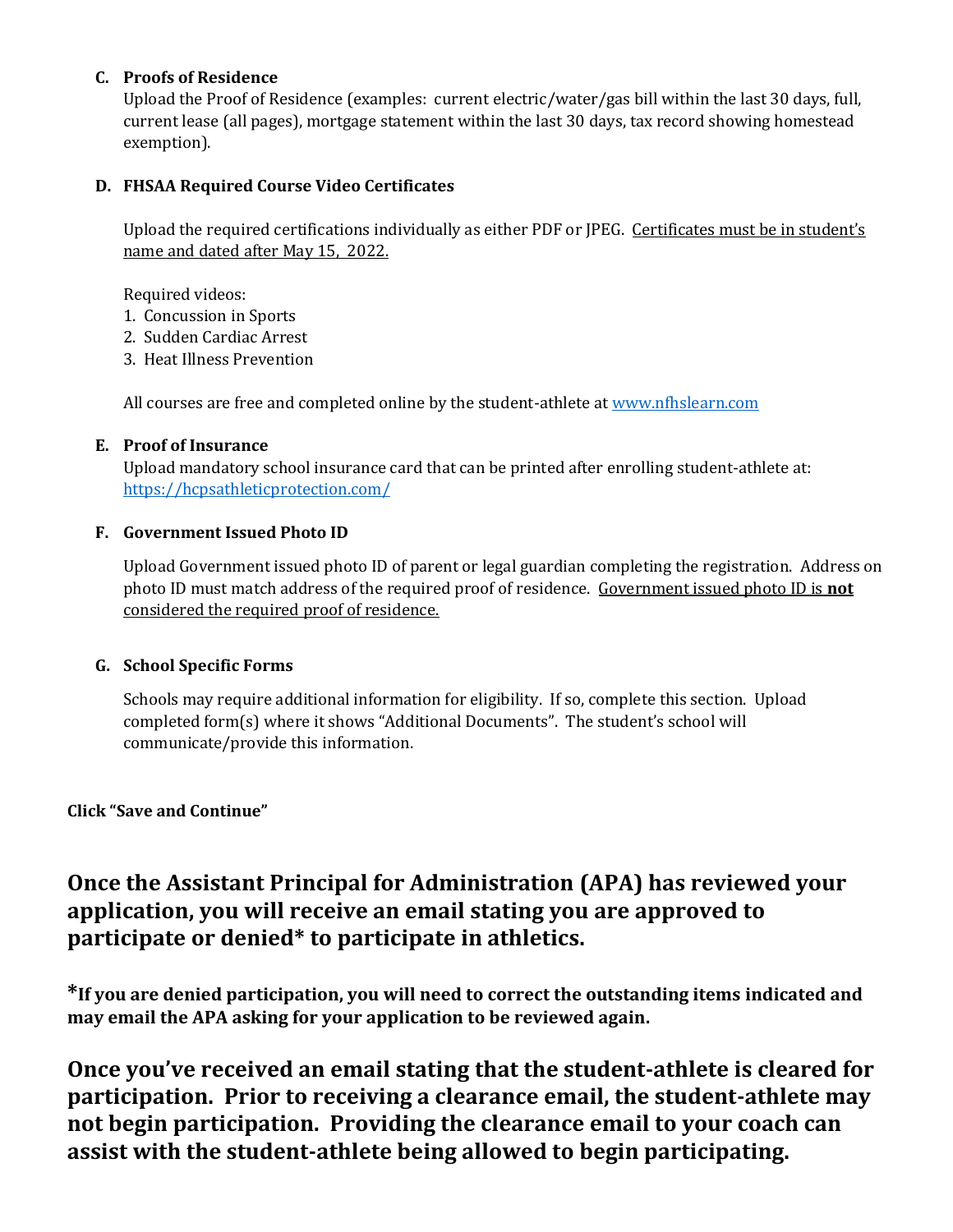### **C. Proofs of Residence**

Upload the Proof of Residence (examples: current electric/water/gas bill within the last 30 days, full, current lease (all pages), mortgage statement within the last 30 days, tax record showing homestead exemption).

### **D. FHSAA Required Course Video Certificates**

Upload the required certifications individually as either PDF or JPEG. Certificates must be in student's name and dated after May 15, 2022.

Required videos:

- 1. Concussion in Sports
- 2. Sudden Cardiac Arrest
- 3. Heat Illness Prevention

All courses are free and completed online by the student-athlete a[t www.nfhslearn.com](http://www.nfhslearn.com/)

### **E. Proof of Insurance**

Upload mandatory school insurance card that can be printed after enrolling student-athlete at: <https://hcpsathleticprotection.com/>

### **F. Government Issued Photo ID**

Upload Government issued photo ID of parent or legal guardian completing the registration. Address on photo ID must match address of the required proof of residence. Government issued photo ID is **not** considered the required proof of residence.

### **G. School Specific Forms**

Schools may require additional information for eligibility. If so, complete this section. Upload completed form(s) where it shows "Additional Documents". The student's school will communicate/provide this information.

**Click "Save and Continue"**

# **Once the Assistant Principal for Administration (APA) has reviewed your application, you will receive an email stating you are approved to participate or denied\* to participate in athletics.**

**\*If you are denied participation, you will need to correct the outstanding items indicated and may email the APA asking for your application to be reviewed again.**

**Once you've received an email stating that the student-athlete is cleared for participation. Prior to receiving a clearance email, the student-athlete may not begin participation. Providing the clearance email to your coach can assist with the student-athlete being allowed to begin participating.**